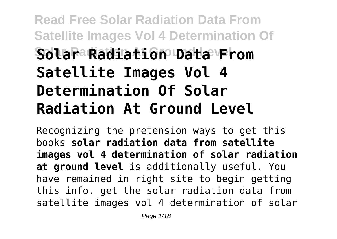## **Read Free Solar Radiation Data From Satellite Images Vol 4 Determination Of Solar Radiation At Ground Level Solar Radiation Data From Satellite Images Vol 4 Determination Of Solar Radiation At Ground Level**

Recognizing the pretension ways to get this books **solar radiation data from satellite images vol 4 determination of solar radiation at ground level** is additionally useful. You have remained in right site to begin getting this info. get the solar radiation data from satellite images vol 4 determination of solar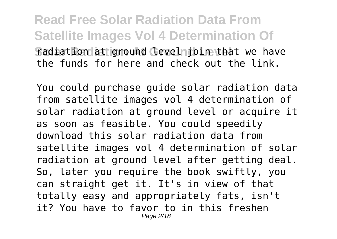**Read Free Solar Radiation Data From Satellite Images Vol 4 Determination Of Sadiation at ground Cevelnioin that we have** the funds for here and check out the link.

You could purchase guide solar radiation data from satellite images vol 4 determination of solar radiation at ground level or acquire it as soon as feasible. You could speedily download this solar radiation data from satellite images vol 4 determination of solar radiation at ground level after getting deal. So, later you require the book swiftly, you can straight get it. It's in view of that totally easy and appropriately fats, isn't it? You have to favor to in this freshen Page 2/18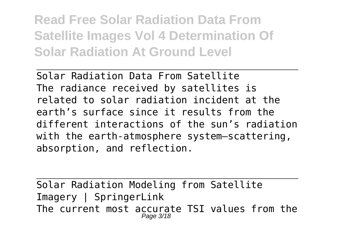**Read Free Solar Radiation Data From Satellite Images Vol 4 Determination Of Solar Radiation At Ground Level**

Solar Radiation Data From Satellite The radiance received by satellites is related to solar radiation incident at the earth's surface since it results from the different interactions of the sun's radiation with the earth-atmosphere system—scattering, absorption, and reflection.

Solar Radiation Modeling from Satellite Imagery | SpringerLink The current most accurate TSI values from the Page 3/18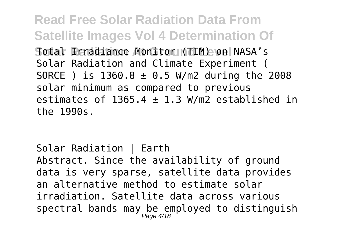**Read Free Solar Radiation Data From Satellite Images Vol 4 Determination Of** Sotal Renadiance Monitor (TIM) on NASA's Solar Radiation and Climate Experiment ( SORCE ) is 1360.8 ± 0.5 W/m2 during the 2008 solar minimum as compared to previous estimates of 1365.4  $\pm$  1.3 W/m2 established in the 1990s.

Solar Radiation | Earth Abstract. Since the availability of ground data is very sparse, satellite data provides an alternative method to estimate solar irradiation. Satellite data across various spectral bands may be employed to distinguish Page 4/18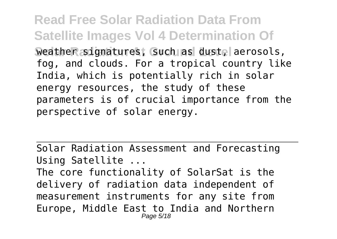**Read Free Solar Radiation Data From Satellite Images Vol 4 Determination Of Weather signatures, Guch as dustel aerosols,** fog, and clouds. For a tropical country like India, which is potentially rich in solar energy resources, the study of these parameters is of crucial importance from the perspective of solar energy.

Solar Radiation Assessment and Forecasting Using Satellite ...

The core functionality of SolarSat is the delivery of radiation data independent of measurement instruments for any site from Europe, Middle East to India and Northern Page 5/18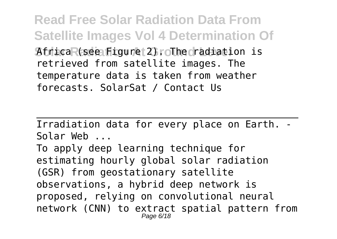**Read Free Solar Radiation Data From Satellite Images Vol 4 Determination Of AtricaR(see Figure 2). The radiation is** retrieved from satellite images. The temperature data is taken from weather forecasts. SolarSat / Contact Us

Irradiation data for every place on Earth. - Solar Web ... To apply deep learning technique for estimating hourly global solar radiation (GSR) from geostationary satellite observations, a hybrid deep network is proposed, relying on convolutional neural network (CNN) to extract spatial pattern from Page 6/18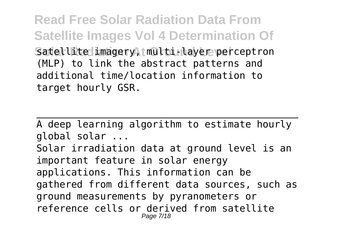**Read Free Solar Radiation Data From Satellite Images Vol 4 Determination Of** Satellite imagery, multi-layer perceptron (MLP) to link the abstract patterns and additional time/location information to target hourly GSR.

A deep learning algorithm to estimate hourly global solar ... Solar irradiation data at ground level is an important feature in solar energy applications. This information can be gathered from different data sources, such as ground measurements by pyranometers or reference cells or derived from satellite Page 7/18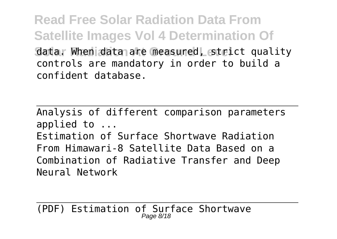**Read Free Solar Radiation Data From Satellite Images Vol 4 Determination Of Gata. When data are measured, strict quality** controls are mandatory in order to build a confident database.

Analysis of different comparison parameters applied to ...

Estimation of Surface Shortwave Radiation From Himawari-8 Satellite Data Based on a Combination of Radiative Transfer and Deep Neural Network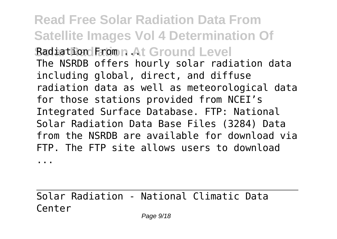**Read Free Solar Radiation Data From Satellite Images Vol 4 Determination Of Radiation From At Ground Level** The NSRDB offers hourly solar radiation data including global, direct, and diffuse radiation data as well as meteorological data for those stations provided from NCEI's Integrated Surface Database. FTP: National Solar Radiation Data Base Files (3284) Data from the NSRDB are available for download via FTP. The FTP site allows users to download

...

Solar Radiation - National Climatic Data Center

Page  $9/18$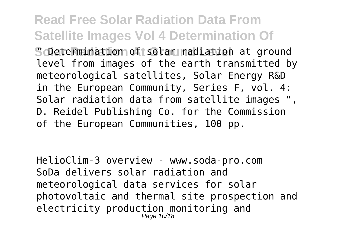## **Read Free Solar Radiation Data From Satellite Images Vol 4 Determination Of**

**Solate Raination of solar radiation at ground** level from images of the earth transmitted by meteorological satellites, Solar Energy R&D in the European Community, Series F, vol. 4: Solar radiation data from satellite images ", D. Reidel Publishing Co. for the Commission of the European Communities, 100 pp.

HelioClim-3 overview - www.soda-pro.com SoDa delivers solar radiation and meteorological data services for solar photovoltaic and thermal site prospection and electricity production monitoring and Page 10/18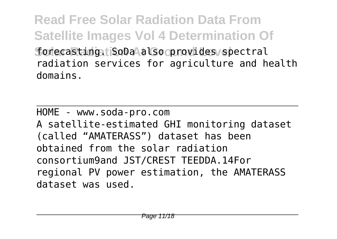**Read Free Solar Radiation Data From Satellite Images Vol 4 Determination Of** forecasting **SoDa also provides spectral** radiation services for agriculture and health domains.

HOME - www.soda-pro.com A satellite‐estimated GHI monitoring dataset (called "AMATERASS") dataset has been obtained from the solar radiation consortium9and JST/CREST TEEDDA.14For regional PV power estimation, the AMATERASS dataset was used.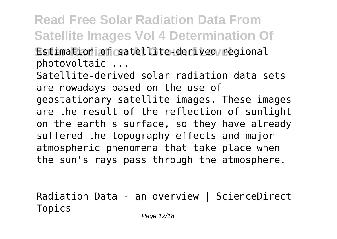**Read Free Solar Radiation Data From Satellite Images Vol 4 Determination Of** Estimation of csatellite-derived regional

photovoltaic ...

Satellite-derived solar radiation data sets are nowadays based on the use of geostationary satellite images. These images are the result of the reflection of sunlight on the earth's surface, so they have already suffered the topography effects and major atmospheric phenomena that take place when the sun's rays pass through the atmosphere.

Radiation Data - an overview | ScienceDirect Topics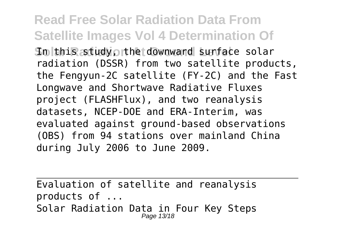**Read Free Solar Radiation Data From Satellite Images Vol 4 Determination Of Solthis study orther downward surface solar** radiation (DSSR) from two satellite products, the Fengyun‐2C satellite (FY‐2C) and the Fast Longwave and Shortwave Radiative Fluxes project (FLASHFlux), and two reanalysis datasets, NCEP‐DOE and ERA‐Interim, was evaluated against ground‐based observations (OBS) from 94 stations over mainland China during July 2006 to June 2009.

Evaluation of satellite and reanalysis products of ... Solar Radiation Data in Four Key Steps Page 13/18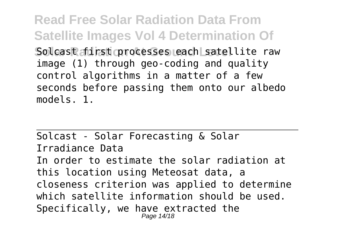**Read Free Solar Radiation Data From Satellite Images Vol 4 Determination Of** Solcast first processes each satellite raw image (1) through geo-coding and quality control algorithms in a matter of a few seconds before passing them onto our albedo models. 1.

Solcast - Solar Forecasting & Solar Irradiance Data In order to estimate the solar radiation at this location using Meteosat data, a closeness criterion was applied to determine which satellite information should be used. Specifically, we have extracted the Page 14/18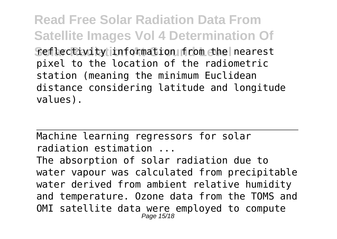**Read Free Solar Radiation Data From Satellite Images Vol 4 Determination Of Seflectivity information from the nearest** pixel to the location of the radiometric station (meaning the minimum Euclidean distance considering latitude and longitude values).

Machine learning regressors for solar radiation estimation ...

The absorption of solar radiation due to water vapour was calculated from precipitable water derived from ambient relative humidity and temperature. Ozone data from the TOMS and OMI satellite data were employed to compute Page 15/18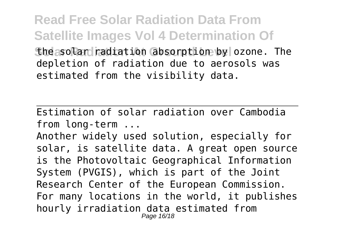**Read Free Solar Radiation Data From Satellite Images Vol 4 Determination Of Shessolar radiation absorption by ozone.** The depletion of radiation due to aerosols was estimated from the visibility data.

Estimation of solar radiation over Cambodia from long-term ...

Another widely used solution, especially for solar, is satellite data. A great open source is the Photovoltaic Geographical Information System (PVGIS), which is part of the Joint Research Center of the European Commission. For many locations in the world, it publishes hourly irradiation data estimated from Page 16/18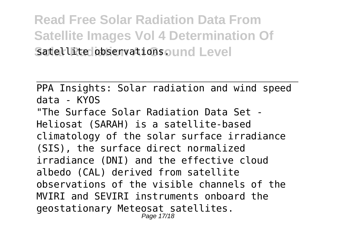**Read Free Solar Radiation Data From Satellite Images Vol 4 Determination Of** Satellite observations aund Level

PPA Insights: Solar radiation and wind speed data - KYOS "The Surface Solar Radiation Data Set - Heliosat (SARAH) is a satellite-based climatology of the solar surface irradiance (SIS), the surface direct normalized irradiance (DNI) and the effective cloud albedo (CAL) derived from satellite observations of the visible channels of the MVIRI and SEVIRI instruments onboard the geostationary Meteosat satellites. Page 17/18